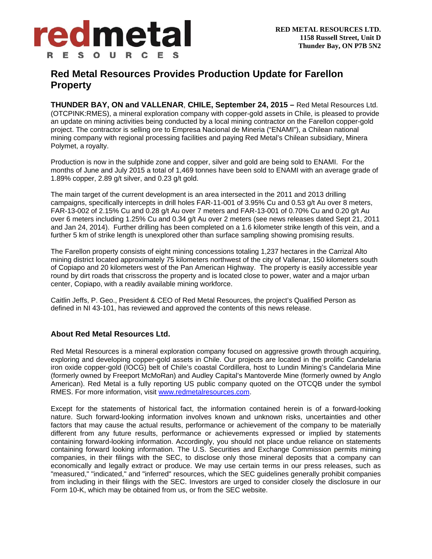

## **Red Metal Resources Provides Production Update for Farellon Property**

**THUNDER BAY, ON and VALLENAR**, **CHILE, September 24, 2015 –** Red Metal Resources Ltd. (OTCPINK:RMES), a mineral exploration company with copper-gold assets in Chile, is pleased to provide an update on mining activities being conducted by a local mining contractor on the Farellon copper-gold project. The contractor is selling ore to Empresa Nacional de Mineria ("ENAMI"), a Chilean national mining company with regional processing facilities and paying Red Metal's Chilean subsidiary, Minera Polymet, a royalty.

Production is now in the sulphide zone and copper, silver and gold are being sold to ENAMI. For the months of June and July 2015 a total of 1,469 tonnes have been sold to ENAMI with an average grade of 1.89% copper, 2.89 g/t silver, and 0.23 g/t gold.

The main target of the current development is an area intersected in the 2011 and 2013 drilling campaigns, specifically intercepts in drill holes FAR-11-001 of 3.95% Cu and 0.53 g/t Au over 8 meters, FAR-13-002 of 2.15% Cu and 0.28 g/t Au over 7 meters and FAR-13-001 of 0.70% Cu and 0.20 g/t Au over 6 meters including 1.25% Cu and 0.34 g/t Au over 2 meters (see news releases dated Sept 21, 2011 and Jan 24, 2014). Further drilling has been completed on a 1.6 kilometer strike length of this vein, and a further 5 km of strike length is unexplored other than surface sampling showing promising results.

The Farellon property consists of eight mining concessions totaling 1,237 hectares in the Carrizal Alto mining district located approximately 75 kilometers northwest of the city of Vallenar, 150 kilometers south of Copiapo and 20 kilometers west of the Pan American Highway. The property is easily accessible year round by dirt roads that crisscross the property and is located close to power, water and a major urban center, Copiapo, with a readily available mining workforce.

Caitlin Jeffs, P. Geo., President & CEO of Red Metal Resources, the project's Qualified Person as defined in NI 43-101, has reviewed and approved the contents of this news release.

## **About Red Metal Resources Ltd.**

Red Metal Resources is a mineral exploration company focused on aggressive growth through acquiring, exploring and developing copper-gold assets in Chile. Our projects are located in the prolific Candelaria iron oxide copper-gold (IOCG) belt of Chile's coastal Cordillera, host to Lundin Mining's Candelaria Mine (formerly owned by Freeport McMoRan) and Audley Capital's Mantoverde Mine (formerly owned by Anglo American). Red Metal is a fully reporting US public company quoted on the OTCQB under the symbol RMES. For more information, visit www.redmetalresources.com.

Except for the statements of historical fact, the information contained herein is of a forward-looking nature. Such forward-looking information involves known and unknown risks, uncertainties and other factors that may cause the actual results, performance or achievement of the company to be materially different from any future results, performance or achievements expressed or implied by statements containing forward-looking information. Accordingly, you should not place undue reliance on statements containing forward looking information. The U.S. Securities and Exchange Commission permits mining companies, in their filings with the SEC, to disclose only those mineral deposits that a company can economically and legally extract or produce. We may use certain terms in our press releases, such as "measured," "indicated," and "inferred" resources, which the SEC guidelines generally prohibit companies from including in their filings with the SEC. Investors are urged to consider closely the disclosure in our Form 10-K, which may be obtained from us, or from the SEC website.